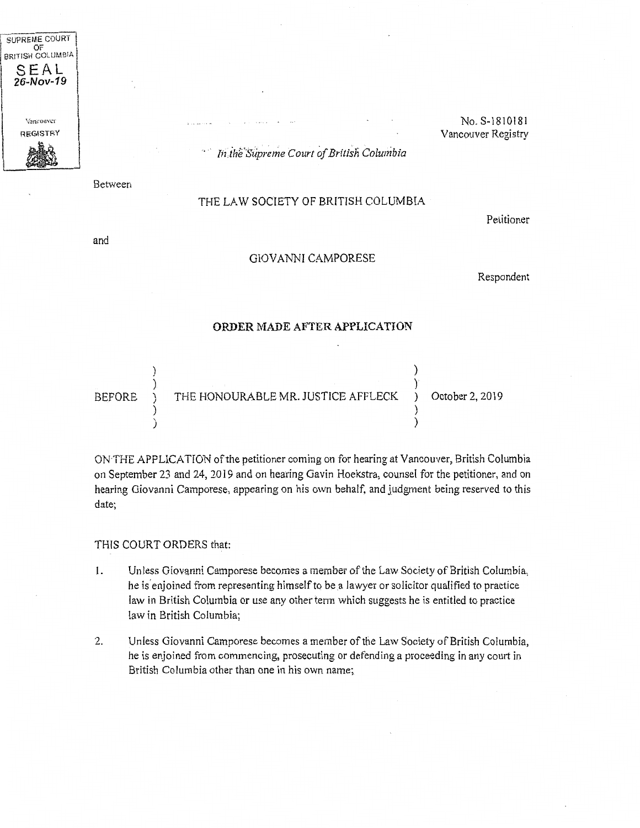

No. S-1810181 Vancouver Registry

In the Supreme Court of British Columbia

Between

## THE LAW SOCIETY OF BRITISH COLUMBIA

Petitioner

and

## GIOVANNI CAMPORESE

Respondent

## **ORDER MADE AFTER APPLICATION**

| BEFORE |  | THE HONOURABLE MR. JUSTICE AFFLECK ) | October 2, 2019 |
|--------|--|--------------------------------------|-----------------|
|        |  |                                      |                 |
|        |  |                                      |                 |

ON THE APPLICATION of the petitioner coming on for hearing at Vancouver, British Columbia on September 23 and 24, 2019 and on hearing Gavin Hoekstra, counsel for the petitioner, and on hearing Giovanni Camporese, appearing on his own behalf, and judgment being reserved to this date;

THIS COURT ORDERS that:

- l. Unless Giovanni Camporese becomes a member of the Law Society of British Columbia, he is enjoined from representing himself to be a lawyer or solicitor qualified to practice law in British Columbia or use any other term which suggests he is entitled to practice law in British Columbia;
- 2. Unless Giovanni Camporese becomes a member of the Law Society of British Columbia, he is enjoined from commencing, prosecuting or defending a proceeding in any court in British Columbia other than one in his own name;